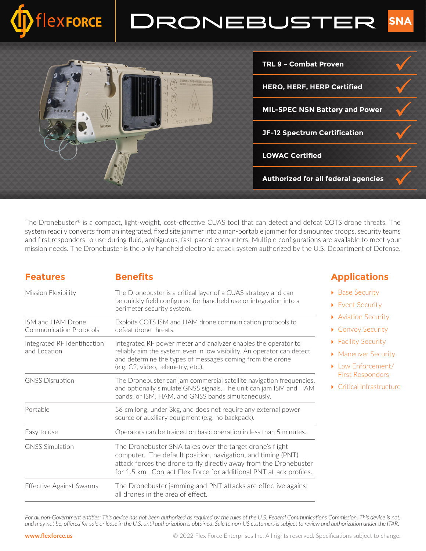



The Dronebuster® is a compact, light-weight, cost-effective CUAS tool that can detect and defeat COTS drone threats. The system readily converts from an integrated, fixed site jammer into a man-portable jammer for dismounted troops, security teams and first responders to use during fluid, ambiguous, fast-paced encounters. Multiple configurations are available to meet your mission needs. The Dronebuster is the only handheld electronic attack system authorized by the U.S. Department of Defense.

#### **Features Benefits**

| Mission Flexibility                          | The Dronebuster is a critical layer of a CUAS strategy and can<br>be quickly field configured for handheld use or integration into a<br>perimeter security system.                                                                                                  |
|----------------------------------------------|---------------------------------------------------------------------------------------------------------------------------------------------------------------------------------------------------------------------------------------------------------------------|
| ISM and HAM Drone<br>Communication Protocols | Exploits COTS ISM and HAM drone communication protocols to<br>defeat drone threats.                                                                                                                                                                                 |
| Integrated RF Identification<br>and Location | Integrated RF power meter and analyzer enables the operator to<br>reliably aim the system even in low visibility. An operator can detect<br>and determine the types of messages coming from the drone<br>(e.g. C2, video, telemetry, etc.).                         |
| <b>GNSS Disruption</b>                       | The Dronebuster can jam commercial satellite navigation frequencies,<br>and optionally simulate GNSS signals. The unit can jam ISM and HAM<br>bands; or ISM, HAM, and GNSS bands simultaneously.                                                                    |
| Portable                                     | 56 cm long, under 3kg, and does not require any external power<br>source or auxiliary equipment (e.g. no backpack).                                                                                                                                                 |
| Easy to use                                  | Operators can be trained on basic operation in less than 5 minutes.                                                                                                                                                                                                 |
| <b>GNSS Simulation</b>                       | The Dronebuster SNA takes over the target drone's flight<br>computer. The default position, navigation, and timing (PNT)<br>attack forces the drone to fly directly away from the Dronebuster<br>for 1.5 km. Contact Flex Force for additional PNT attack profiles. |
| Effective Against Swarms                     | The Dronebuster jamming and PNT attacks are effective against<br>all drones in the area of effect.                                                                                                                                                                  |

### **Applications**

- ▶ Base Security
- ▶ Event Security
- ▶ Aviation Security
- ▶ Convoy Security
- ▶ Facility Security
- **Maneuver Security**
- ▶ Law Enforcement/ First Responders
- } Critical Infrastructure

For all non-Government entities: This device has not been authorized as required by the rules of the U.S. Federal Communications Commission. This device is not, *and may not be, offered for sale or lease in the U.S. until authorization is obtained. Sale to non-US customers is subject to review and authorization under the ITAR.*